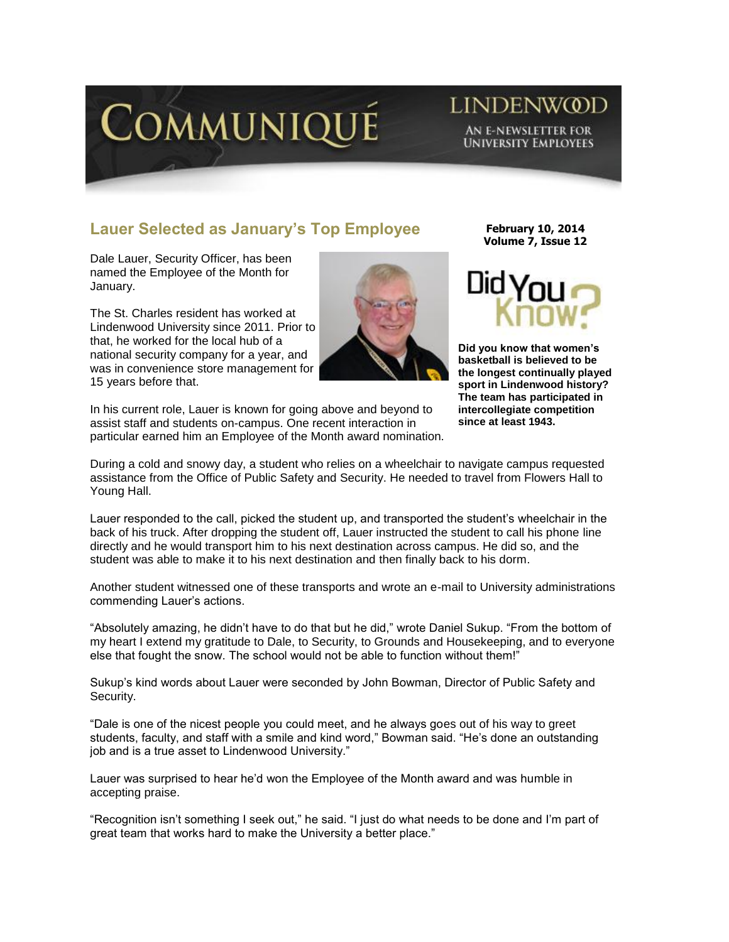

## **LINDENWOOD** AN E-NEWSLETTER FOR **UNIVERSITY EMPLOYEES**

## **Lauer Selected as January's Top Employee**

Dale Lauer, Security Officer, has been named the Employee of the Month for January.

The St. Charles resident has worked at Lindenwood University since 2011. Prior to that, he worked for the local hub of a national security company for a year, and was in convenience store management for 15 years before that.



In his current role, Lauer is known for going above and beyond to assist staff and students on-campus. One recent interaction in particular earned him an Employee of the Month award nomination.

**February 10, 2014 Volume 7, Issue 12**



**Did you know that women's basketball is believed to be the longest continually played sport in Lindenwood history? The team has participated in intercollegiate competition since at least 1943.** 

During a cold and snowy day, a student who relies on a wheelchair to navigate campus requested assistance from the Office of Public Safety and Security. He needed to travel from Flowers Hall to Young Hall.

Lauer responded to the call, picked the student up, and transported the student's wheelchair in the back of his truck. After dropping the student off, Lauer instructed the student to call his phone line directly and he would transport him to his next destination across campus. He did so, and the student was able to make it to his next destination and then finally back to his dorm.

Another student witnessed one of these transports and wrote an e-mail to University administrations commending Lauer's actions.

"Absolutely amazing, he didn't have to do that but he did," wrote Daniel Sukup. "From the bottom of my heart I extend my gratitude to Dale, to Security, to Grounds and Housekeeping, and to everyone else that fought the snow. The school would not be able to function without them!"

Sukup's kind words about Lauer were seconded by John Bowman, Director of Public Safety and Security.

"Dale is one of the nicest people you could meet, and he always goes out of his way to greet students, faculty, and staff with a smile and kind word," Bowman said. "He's done an outstanding job and is a true asset to Lindenwood University."

Lauer was surprised to hear he'd won the Employee of the Month award and was humble in accepting praise.

"Recognition isn't something I seek out," he said. "I just do what needs to be done and I'm part of great team that works hard to make the University a better place."